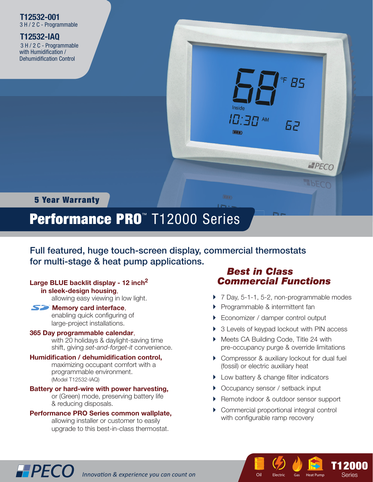#### **T12532-001** 3 H / 2 C - Programmable

### **T12532-IAQ**

 3 H / 2 C - Programmable with Humidification / **Dehumidification Control** 



## 5 Year Warranty

# Performance PRO<sup>™</sup> T12000 Series

Full featured, huge touch-screen display, commercial thermostats for multi-stage & heat pump applications.

## **Large BLUE backlit display - 12 inch2**

 **in sleek-design housing**,

allowing easy viewing in low light.

#### **S** Memory card interface,

enabling quick configuring of large-project installations.

#### **365 Day programmable calendar**,

 with 20 holidays & daylight-saving time shift, giving *set-and-forget-it* convenience.

#### **Humidification / dehumidification control,**

 maximizing occupant comfort with a programmable environment. (Model T12532-IAQ)

#### **Battery or hard-wire with power harvesting,**

 or (Green) mode, preserving battery life & reducing disposals.

#### **Performance PRO Series common wallplate,**

 allowing installer or customer to easily upgrade to this best-in-class thermostat.

**IPPECO** Innovation & experience you can count on

## *Best in Class Commercial Functions*

- ▶ 7 Day, 5-1-1, 5-2, non-programmable modes
- **Programmable & intermittent fan**
- Economizer / damper control output
- ▶ 3 Levels of keypad lockout with PIN access
- ▶ Meets CA Building Code, Title 24 with pre-occupancy purge & override limitations
- ▶ Compressor & auxiliary lockout for dual fuel (fossil) or electric auxiliary heat
- ▶ Low battery & change filter indicators
- ▶ Occupancy sensor / setback input
- ▶ Remote indoor & outdoor sensor support
- Commercial proportional integral control with configurable ramp recovery

D 1 ctric Gas Hea

Oil Electric Gas Heat Pump Series

T12000 T12000